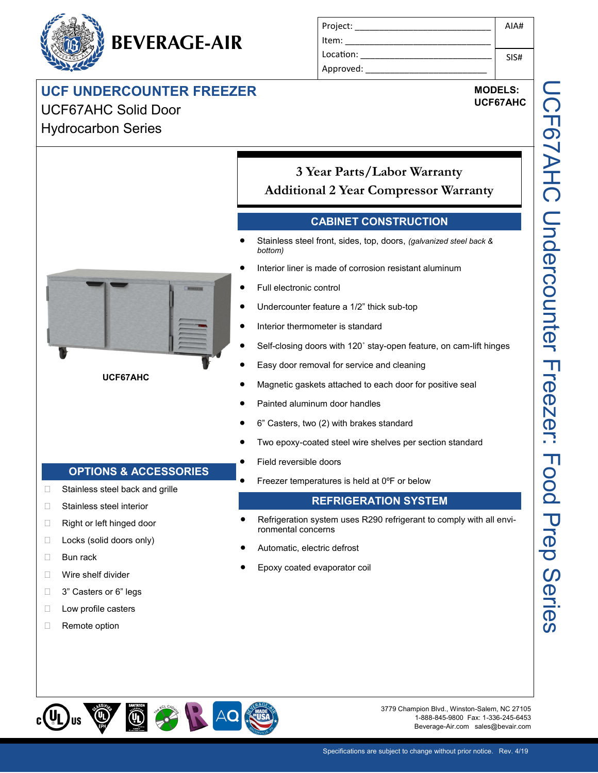# **UCF UNDERCOUNTER FREEZER**

**BEVERAGE-AIR**

# UCF67AHC Solid Door Hydrocarbon Series

#### Project: \_\_\_\_\_\_\_\_\_\_\_\_\_\_\_\_\_\_\_\_\_\_\_\_\_\_\_\_ Item: Location: Approved: AIA# SIS#

## **MODELS: UCF67AHC**

*bottom)* **UCF67AHC**

**3 Year Parts/Labor Warranty Additional 2 Year Compressor Warranty**

### **CABINET CONSTRUCTION**

- Stainless steel front, sides, top, doors, *(galvanized steel back &*
- Interior liner is made of corrosion resistant aluminum
- Full electronic control
- Undercounter feature a 1/2" thick sub-top
- Interior thermometer is standard
- Self-closing doors with 120˚ stay-open feature, on cam-lift hinges
- Easy door removal for service and cleaning
- Magnetic gaskets attached to each door for positive seal
- Painted aluminum door handles
- 6" Casters, two (2) with brakes standard
- Two epoxy-coated steel wire shelves per section standard
- Field reversible doors
- Freezer temperatures is held at 0ºF or below

#### **REFRIGERATION SYSTEM**

- Refrigeration system uses R290 refrigerant to comply with all environmental concerns
- Automatic, electric defrost
- Epoxy coated evaporator coil



**OPTIONS & ACCESSORIES**

□ Stainless steel back and grille

□ Stainless steel interior □ Right or left hinged door □ Locks (solid doors only)

**Bun rack** 

**Nire shelf divider** □ 3" Casters or 6" legs **Low profile casters** Remote option

> 3779 Champion Blvd., Winston-Salem, NC 27105 1-888-845-9800 Fax: 1-336-245-6453 Beverage-Air.com sales@bevair.com